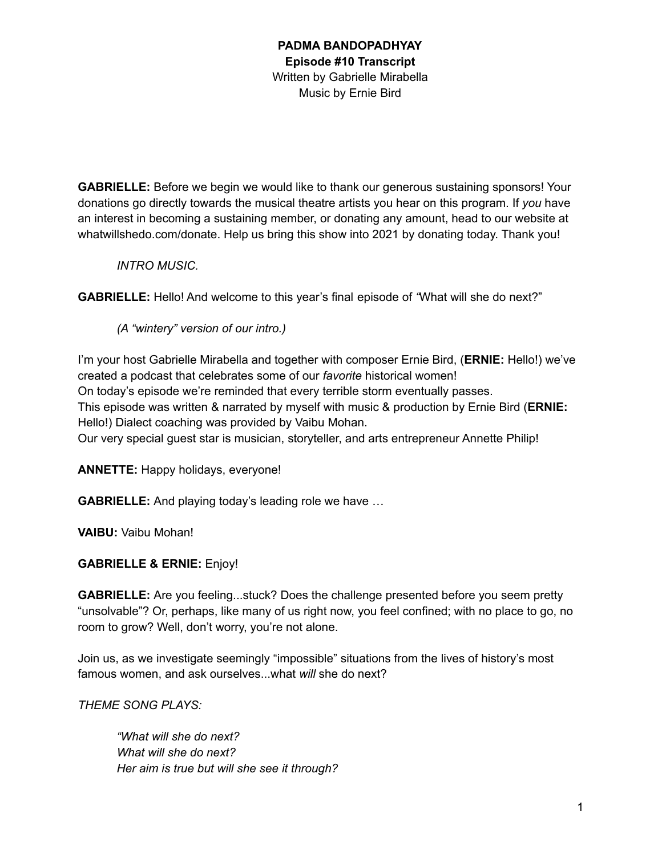**GABRIELLE:** Before we begin we would like to thank our generous sustaining sponsors! Your donations go directly towards the musical theatre artists you hear on this program. If *you* have an interest in becoming a sustaining member, or donating any amount, head to our website at whatwillshedo.com/donate. Help us bring this show into 2021 by donating today. Thank you!

## *INTRO MUSIC.*

**GABRIELLE:** Hello! And welcome to this year's final episode of *"*What will she do next?"

*(A "wintery" version of our intro.)*

I'm your host Gabrielle Mirabella and together with composer Ernie Bird, (**ERNIE:** Hello!) we've created a podcast that celebrates some of our *favorite* historical women! On today's episode we're reminded that every terrible storm eventually passes. This episode was written & narrated by myself with music & production by Ernie Bird (**ERNIE:** Hello!) Dialect coaching was provided by Vaibu Mohan. Our very special guest star is musician, storyteller, and arts entrepreneur Annette Philip!

**ANNETTE:** Happy holidays, everyone!

**GABRIELLE:** And playing today's leading role we have …

**VAIBU:** Vaibu Mohan!

# **GABRIELLE & ERNIE:** Enjoy!

**GABRIELLE:** Are you feeling...stuck? Does the challenge presented before you seem pretty "unsolvable"? Or, perhaps, like many of us right now, you feel confined; with no place to go, no room to grow? Well, don't worry, you're not alone.

Join us, as we investigate seemingly "impossible" situations from the lives of history's most famous women, and ask ourselves...what *will* she do next?

*THEME SONG PLAYS:*

*"What will she do next? What will she do next? Her aim is true but will she see it through?*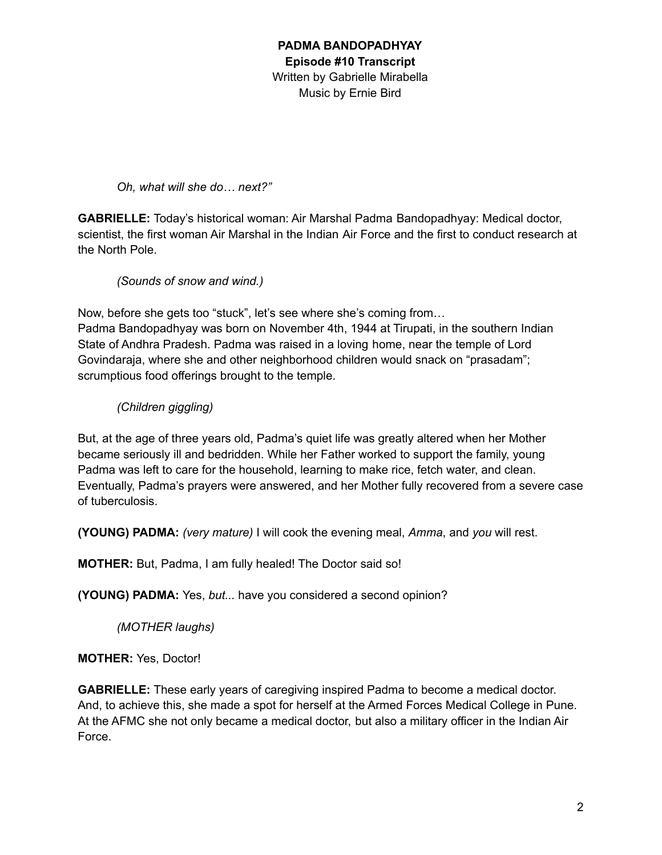*Oh, what will she do… next?"*

**GABRIELLE:** Today's historical woman: Air Marshal Padma Bandopadhyay: Medical doctor, scientist, the first woman Air Marshal in the Indian Air Force and the first to conduct research at the North Pole.

*(Sounds of snow and wind.)*

Now, before she gets too "stuck", let's see where she's coming from…

Padma Bandopadhyay was born on November 4th, 1944 at Tirupati, in the southern Indian State of Andhra Pradesh. Padma was raised in a loving home, near the temple of Lord Govindaraja, where she and other neighborhood children would snack on "prasadam"; scrumptious food offerings brought to the temple.

*(Children giggling)*

But, at the age of three years old, Padma's quiet life was greatly altered when her Mother became seriously ill and bedridden. While her Father worked to support the family, young Padma was left to care for the household, learning to make rice, fetch water, and clean. Eventually, Padma's prayers were answered, and her Mother fully recovered from a severe case of tuberculosis.

**(YOUNG) PADMA:** *(very mature)* I will cook the evening meal, *Amma*, and *you* will rest.

**MOTHER:** But, Padma, I am fully healed! The Doctor said so!

**(YOUNG) PADMA:** Yes, *but...* have you considered a second opinion?

*(MOTHER laughs)*

**MOTHER:** Yes, Doctor!

**GABRIELLE:** These early years of caregiving inspired Padma to become a medical doctor. And, to achieve this, she made a spot for herself at the Armed Forces Medical College in Pune. At the AFMC she not only became a medical doctor, but also a military officer in the Indian Air Force.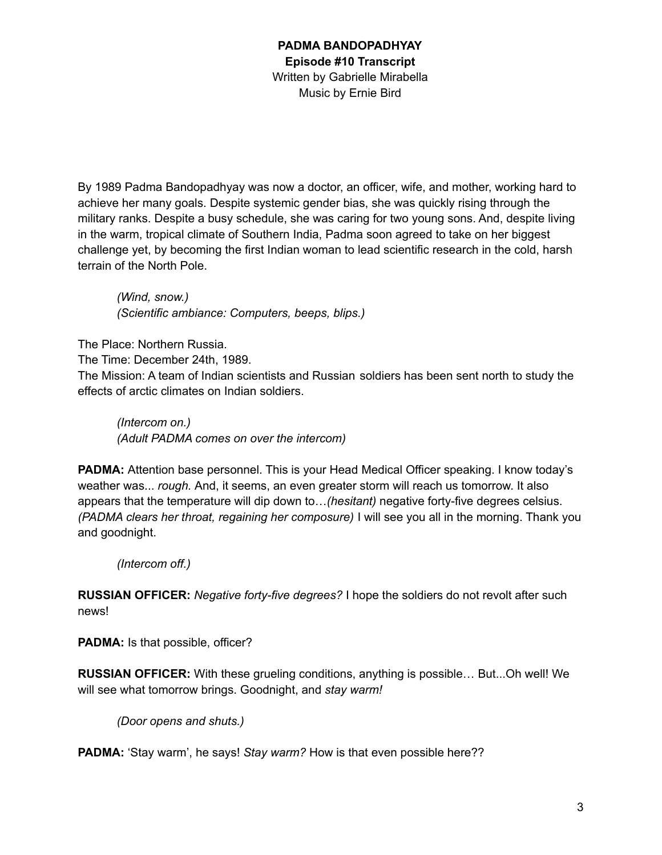By 1989 Padma Bandopadhyay was now a doctor, an officer, wife, and mother, working hard to achieve her many goals. Despite systemic gender bias, she was quickly rising through the military ranks. Despite a busy schedule, she was caring for two young sons. And, despite living in the warm, tropical climate of Southern India, Padma soon agreed to take on her biggest challenge yet, by becoming the first Indian woman to lead scientific research in the cold, harsh terrain of the North Pole.

*(Wind, snow.) (Scientific ambiance: Computers, beeps, blips.)*

The Place: Northern Russia.

The Time: December 24th, 1989.

The Mission: A team of Indian scientists and Russian soldiers has been sent north to study the effects of arctic climates on Indian soldiers.

*(Intercom on.) (Adult PADMA comes on over the intercom)*

**PADMA:** Attention base personnel. This is your Head Medical Officer speaking. I know today's weather was... *rough.* And, it seems, an even greater storm will reach us tomorrow. It also appears that the temperature will dip down to…*(hesitant)* negative forty-five degrees celsius. *(PADMA clears her throat, regaining her composure)* I will see you all in the morning. Thank you and goodnight.

*(Intercom off.)*

**RUSSIAN OFFICER:** *Negative forty-five degrees?* I hope the soldiers do not revolt after such news!

**PADMA:** Is that possible, officer?

**RUSSIAN OFFICER:** With these grueling conditions, anything is possible… But...Oh well! We will see what tomorrow brings. Goodnight, and *stay warm!*

*(Door opens and shuts.)*

**PADMA:** 'Stay warm', he says! *Stay warm?* How is that even possible here??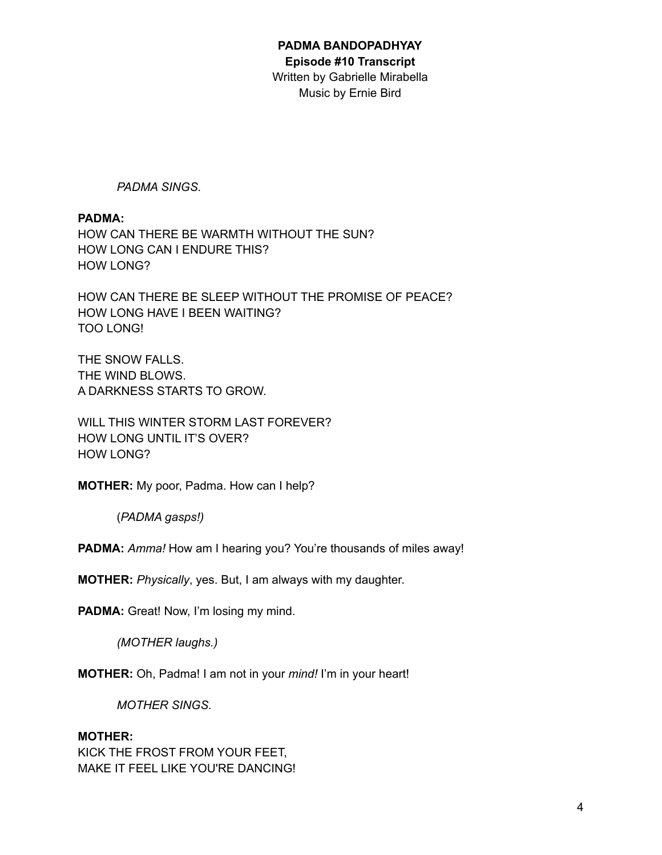#### **PADMA BANDOPADHYAY Episode #10 Transcript**

Written by Gabrielle Mirabella Music by Ernie Bird

*PADMA SINGS.*

### **PADMA:**

HOW CAN THERE BE WARMTH WITHOUT THE SUN? HOW LONG CAN I ENDURE THIS? HOW LONG?

HOW CAN THERE BE SLEEP WITHOUT THE PROMISE OF PEACE? HOW LONG HAVE I BEEN WAITING? TOO LONG!

THE SNOW FALLS. THE WIND BLOWS. A DARKNESS STARTS TO GROW.

WILL THIS WINTER STORM LAST FOREVER? HOW LONG UNTIL IT'S OVER? HOW LONG?

**MOTHER:** My poor, Padma. How can I help?

(*PADMA gasps!)*

**PADMA:** *Amma!* How am I hearing you? You're thousands of miles away!

**MOTHER:** *Physically*, yes. But, I am always with my daughter.

PADMA: Great! Now, I'm losing my mind.

*(MOTHER laughs.)*

**MOTHER:** Oh, Padma! I am not in your *mind!* I'm in your heart!

*MOTHER SINGS.*

### **MOTHER:**

KICK THE FROST FROM YOUR FEET, MAKE IT FEEL LIKE YOU'RE DANCING!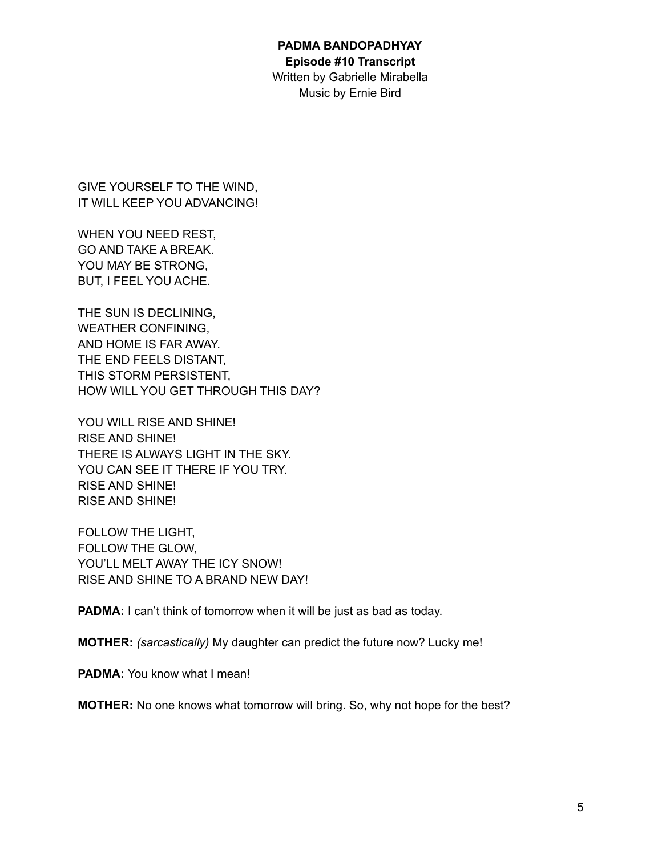#### **PADMA BANDOPADHYAY Episode #10 Transcript**

Written by Gabrielle Mirabella Music by Ernie Bird

GIVE YOURSELF TO THE WIND, IT WILL KEEP YOU ADVANCING!

WHEN YOU NEED REST, GO AND TAKE A BREAK. YOU MAY BE STRONG, BUT, I FEEL YOU ACHE.

THE SUN IS DECLINING, WEATHER CONFINING, AND HOME IS FAR AWAY. THE END FEELS DISTANT, THIS STORM PERSISTENT, HOW WILL YOU GET THROUGH THIS DAY?

YOU WILL RISE AND SHINE! RISE AND SHINE! THERE IS ALWAYS LIGHT IN THE SKY. YOU CAN SEE IT THERE IF YOU TRY. RISE AND SHINE! RISE AND SHINE!

FOLLOW THE LIGHT, FOLLOW THE GLOW, YOU'LL MELT AWAY THE ICY SNOW! RISE AND SHINE TO A BRAND NEW DAY!

**PADMA:** I can't think of tomorrow when it will be just as bad as today.

**MOTHER:** *(sarcastically)* My daughter can predict the future now? Lucky me!

**PADMA:** You know what I mean!

**MOTHER:** No one knows what tomorrow will bring. So, why not hope for the best?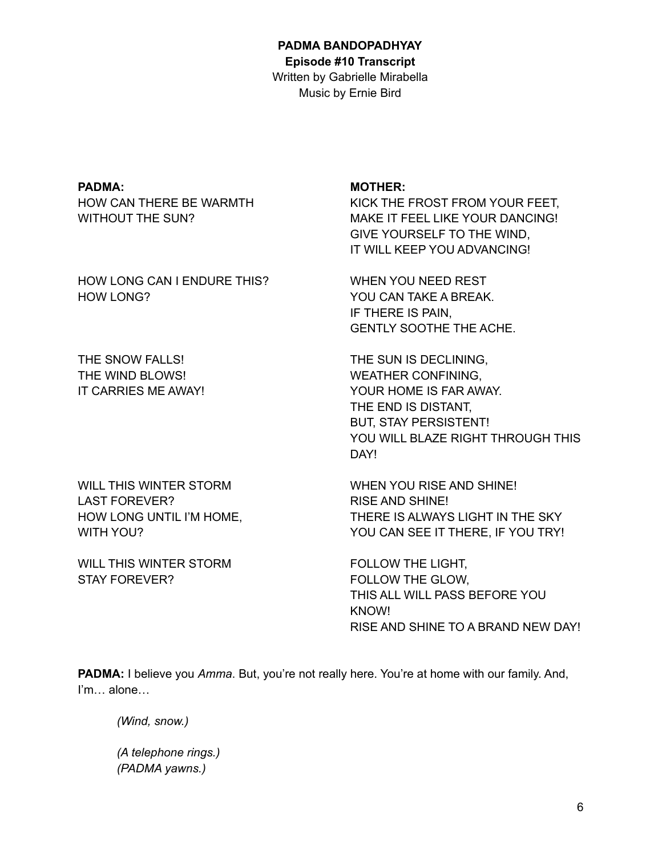#### **PADMA BANDOPADHYAY Episode #10 Transcript**

Written by Gabrielle Mirabella Music by Ernie Bird

### **PADMA:**

HOW CAN THERE BE WARMTH WITHOUT THE SUN?

HOW LONG CAN I ENDURE THIS? HOW LONG?

THE SNOW FALLS! THE WIND BLOWS! IT CARRIES ME AWAY!

WILL THIS WINTER STORM LAST FOREVER? HOW LONG UNTIL I'M HOME, WITH YOU?

WILL THIS WINTER STORM STAY FOREVER?

### **MOTHER:**

KICK THE FROST FROM YOUR FEET, MAKE IT FEEL LIKE YOUR DANCING! GIVE YOURSELF TO THE WIND, IT WILL KEEP YOU ADVANCING!

WHEN YOU NEED REST YOU CAN TAKE A BREAK. IF THERE IS PAIN, GENTLY SOOTHE THE ACHE.

THE SUN IS DECLINING, WEATHER CONFINING, YOUR HOME IS FAR AWAY. THE END IS DISTANT, BUT, STAY PERSISTENT! YOU WILL BLAZE RIGHT THROUGH THIS DAY!

WHEN YOU RISE AND SHINE! RISE AND SHINE! THERE IS ALWAYS LIGHT IN THE SKY YOU CAN SEE IT THERE, IF YOU TRY!

FOLLOW THE LIGHT, FOLLOW THE GLOW, THIS ALL WILL PASS BEFORE YOU KNOW! RISE AND SHINE TO A BRAND NEW DAY!

**PADMA:** I believe you *Amma*. But, you're not really here. You're at home with our family. And, I'm… alone…

*(Wind, snow.)*

*(A telephone rings.) (PADMA yawns.)*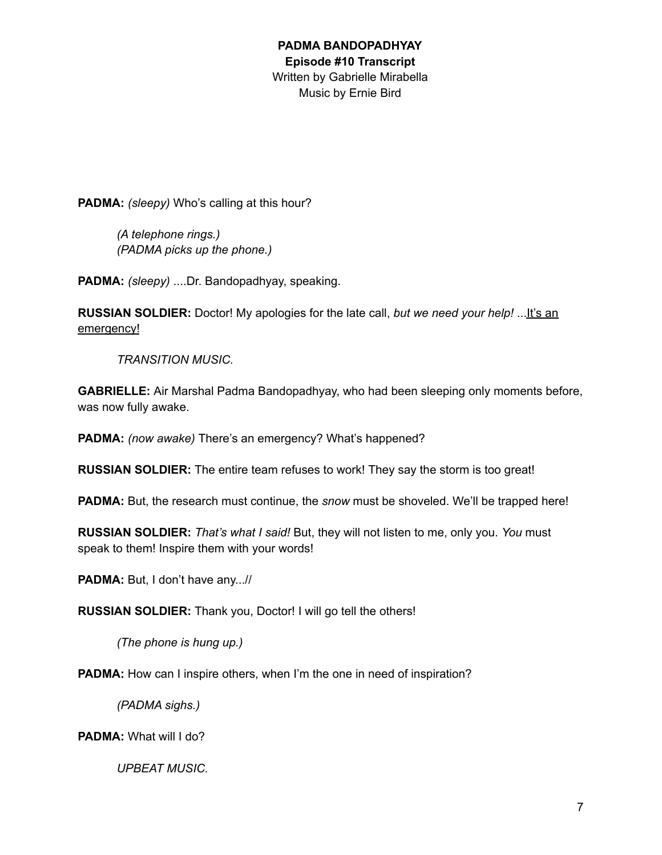**PADMA:** *(sleepy)* Who's calling at this hour?

*(A telephone rings.) (PADMA picks up the phone.)*

**PADMA:** *(sleepy)* ....Dr. Bandopadhyay, speaking.

**RUSSIAN SOLDIER:** Doctor! My apologies for the late call, *but we need your help!* ...It's an emergency!

*TRANSITION MUSIC.*

**GABRIELLE:** Air Marshal Padma Bandopadhyay, who had been sleeping only moments before, was now fully awake.

**PADMA:** *(now awake)* There's an emergency? What's happened?

**RUSSIAN SOLDIER:** The entire team refuses to work! They say the storm is too great!

**PADMA:** But, the research must continue, the *snow* must be shoveled. We'll be trapped here!

**RUSSIAN SOLDIER:** *That's what I said!* But, they will not listen to me, only you. *You* must speak to them! Inspire them with your words!

**PADMA:** But, I don't have any...//

**RUSSIAN SOLDIER:** Thank you, Doctor! I will go tell the others!

*(The phone is hung up.)*

**PADMA:** How can I inspire others, when I'm the one in need of inspiration?

*(PADMA sighs.)*

**PADMA:** What will I do?

*UPBEAT MUSIC.*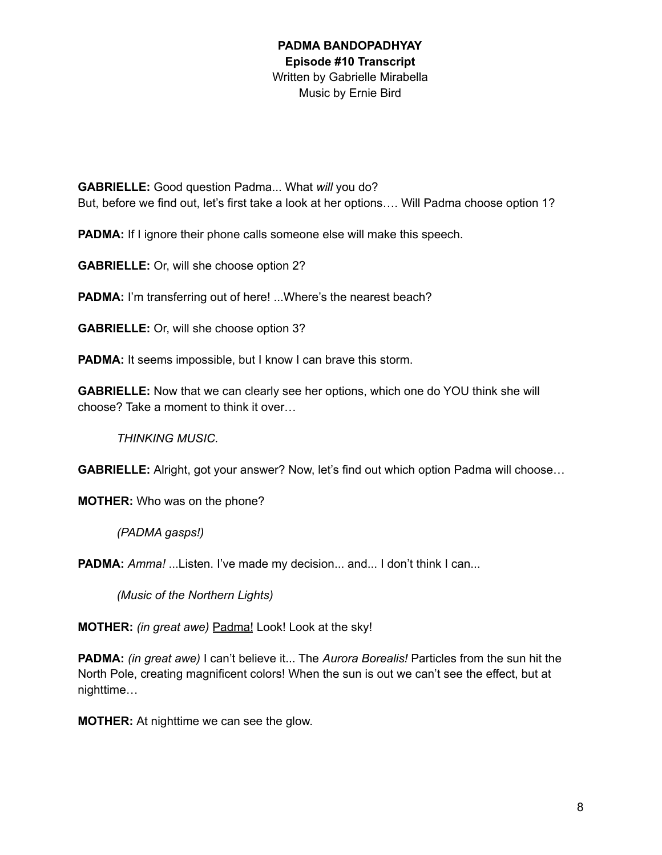**GABRIELLE:** Good question Padma... What *will* you do? But, before we find out, let's first take a look at her options…. Will Padma choose option 1?

**PADMA:** If I ignore their phone calls someone else will make this speech.

**GABRIELLE:** Or, will she choose option 2?

**PADMA:** I'm transferring out of here! ...Where's the nearest beach?

**GABRIELLE:** Or, will she choose option 3?

**PADMA:** It seems impossible, but I know I can brave this storm.

**GABRIELLE:** Now that we can clearly see her options, which one do YOU think she will choose? Take a moment to think it over…

*THINKING MUSIC.*

**GABRIELLE:** Alright, got your answer? Now, let's find out which option Padma will choose…

**MOTHER:** Who was on the phone?

*(PADMA gasps!)*

**PADMA:** Amma! ...Listen. I've made my decision... and... I don't think I can...

*(Music of the Northern Lights)*

**MOTHER:** *(in great awe)* Padma! Look! Look at the sky!

**PADMA:** *(in great awe)* I can't believe it... The *Aurora Borealis!* Particles from the sun hit the North Pole, creating magnificent colors! When the sun is out we can't see the effect, but at nighttime…

**MOTHER:** At nighttime we can see the glow.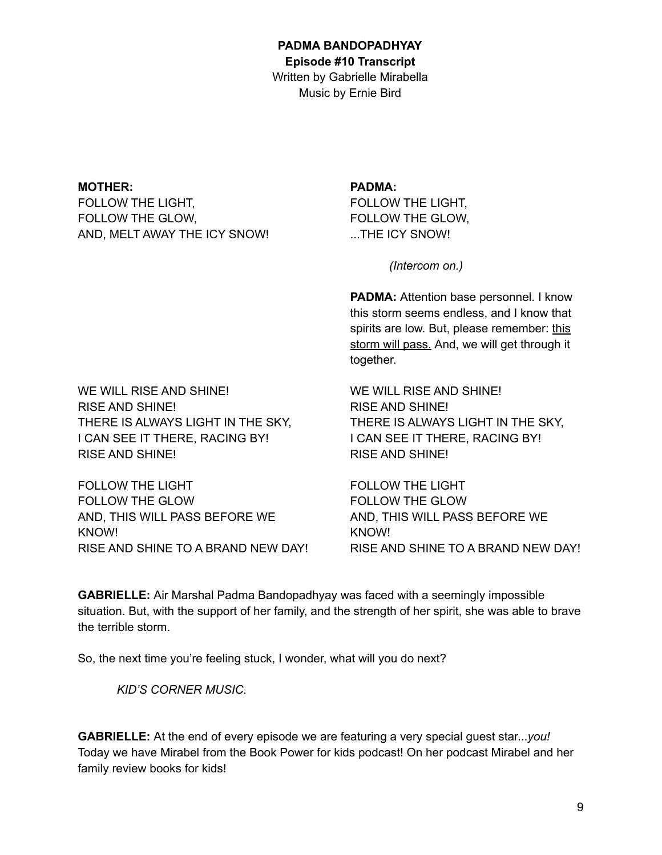**MOTHER:** FOLLOW THE LIGHT, FOLLOW THE GLOW, AND, MELT AWAY THE ICY SNOW!

### **PADMA:**

FOLLOW THE LIGHT, FOLLOW THE GLOW, THE ICY SNOW!

*(Intercom on.)*

**PADMA:** Attention base personnel. I know this storm seems endless, and I know that spirits are low. But, please remember: this storm will pass. And, we will get through it together.

WE WILL RISE AND SHINE! RISE AND SHINE! THERE IS ALWAYS LIGHT IN THE SKY, I CAN SEE IT THERE, RACING BY! RISE AND SHINE!

FOLLOW THE LIGHT FOLLOW THE GLOW AND, THIS WILL PASS BEFORE WE KNOW! RISE AND SHINE TO A BRAND NEW DAY!

WE WILL RISE AND SHINE! RISE AND SHINE! THERE IS ALWAYS LIGHT IN THE SKY, I CAN SEE IT THERE, RACING BY! RISE AND SHINE!

FOLLOW THE LIGHT FOLLOW THE GLOW AND, THIS WILL PASS BEFORE WE KNOW! RISE AND SHINE TO A BRAND NEW DAY!

**GABRIELLE:** Air Marshal Padma Bandopadhyay was faced with a seemingly impossible situation. But, with the support of her family, and the strength of her spirit, she was able to brave the terrible storm.

So, the next time you're feeling stuck, I wonder, what will you do next?

*KID'S CORNER MUSIC.*

**GABRIELLE:** At the end of every episode we are featuring a very special guest star...*you!* Today we have Mirabel from the Book Power for kids podcast! On her podcast Mirabel and her family review books for kids!